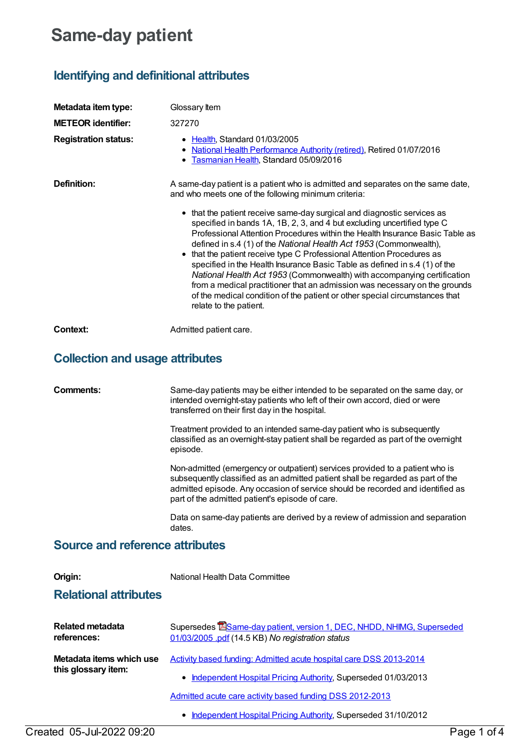## **Same-day patient**

## **Identifying and definitional attributes**

| Metadata item type:         | Glossary Item                                                                                                                                                                                                                                                                                                                                                                                                                                                                                                                                                                                                                                                                                                                                                                                                                                                               |
|-----------------------------|-----------------------------------------------------------------------------------------------------------------------------------------------------------------------------------------------------------------------------------------------------------------------------------------------------------------------------------------------------------------------------------------------------------------------------------------------------------------------------------------------------------------------------------------------------------------------------------------------------------------------------------------------------------------------------------------------------------------------------------------------------------------------------------------------------------------------------------------------------------------------------|
| <b>METEOR identifier:</b>   | 327270                                                                                                                                                                                                                                                                                                                                                                                                                                                                                                                                                                                                                                                                                                                                                                                                                                                                      |
| <b>Registration status:</b> | Health, Standard 01/03/2005<br>National Health Performance Authority (retired), Retired 01/07/2016<br>Tasmanian Health, Standard 05/09/2016                                                                                                                                                                                                                                                                                                                                                                                                                                                                                                                                                                                                                                                                                                                                 |
| Definition:                 | A same-day patient is a patient who is admitted and separates on the same date,<br>and who meets one of the following minimum criteria:<br>• that the patient receive same-day surgical and diagnostic services as<br>specified in bands 1A, 1B, 2, 3, and 4 but excluding uncertified type C<br>Professional Attention Procedures within the Health Insurance Basic Table as<br>defined in s.4 (1) of the National Health Act 1953 (Commonwealth),<br>that the patient receive type C Professional Attention Procedures as<br>specified in the Health Insurance Basic Table as defined in s.4 (1) of the<br>National Health Act 1953 (Commonwealth) with accompanying certification<br>from a medical practitioner that an admission was necessary on the grounds<br>of the medical condition of the patient or other special circumstances that<br>relate to the patient. |
| Context:                    | Admitted patient care.                                                                                                                                                                                                                                                                                                                                                                                                                                                                                                                                                                                                                                                                                                                                                                                                                                                      |

## **Collection and usage attributes**

| Comments:                                       | Same-day patients may be either intended to be separated on the same day, or<br>intended overnight-stay patients who left of their own accord, died or were<br>transferred on their first day in the hospital.                                                                                       |
|-------------------------------------------------|------------------------------------------------------------------------------------------------------------------------------------------------------------------------------------------------------------------------------------------------------------------------------------------------------|
|                                                 | Treatment provided to an intended same-day patient who is subsequently<br>classified as an overnight-stay patient shall be regarded as part of the overnight<br>episode.                                                                                                                             |
|                                                 | Non-admitted (emergency or outpatient) services provided to a patient who is<br>subsequently classified as an admitted patient shall be regarded as part of the<br>admitted episode. Any occasion of service should be recorded and identified as<br>part of the admitted patient's episode of care. |
|                                                 | Data on same-day patients are derived by a review of admission and separation<br>dates.                                                                                                                                                                                                              |
| <b>Source and reference attributes</b>          |                                                                                                                                                                                                                                                                                                      |
| Origin:                                         | National Health Data Committee                                                                                                                                                                                                                                                                       |
| <b>Relational attributes</b>                    |                                                                                                                                                                                                                                                                                                      |
| Related metadata<br>references:                 | Supersedes ESame-day patient, version 1, DEC, NHDD, NHIMG, Superseded<br>01/03/2005 .pdf (14.5 KB) No registration status                                                                                                                                                                            |
| Metadata items which use<br>this glossary item: | Activity based funding: Admitted acute hospital care DSS 2013-2014                                                                                                                                                                                                                                   |
|                                                 | Independent Hospital Pricing Authority, Superseded 01/03/2013<br>٠                                                                                                                                                                                                                                   |
|                                                 | Admitted acute care activity based funding DSS 2012-2013                                                                                                                                                                                                                                             |
|                                                 | Independent Hospital Pricing Authority, Superseded 31/10/2012                                                                                                                                                                                                                                        |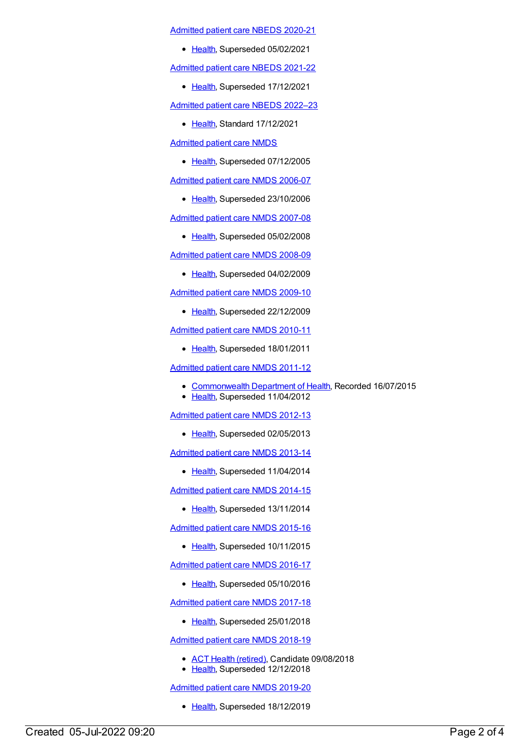[Admitted](https://meteor.aihw.gov.au/content/715998) patient care NBEDS 2020-21

• [Health](https://meteor.aihw.gov.au/RegistrationAuthority/12), Superseded 05/02/2021

[Admitted](https://meteor.aihw.gov.au/content/728441) patient care NBEDS 2021-22

• [Health](https://meteor.aihw.gov.au/RegistrationAuthority/12), Superseded 17/12/2021

[Admitted](https://meteor.aihw.gov.au/content/742171) patient care NBEDS 2022–23

• [Health](https://meteor.aihw.gov.au/RegistrationAuthority/12), Standard 17/12/2021

[Admitted](https://meteor.aihw.gov.au/content/273050) patient care NMDS

• [Health](https://meteor.aihw.gov.au/RegistrationAuthority/12), Superseded 07/12/2005

[Admitted](https://meteor.aihw.gov.au/content/334023) patient care NMDS 2006-07

• [Health](https://meteor.aihw.gov.au/RegistrationAuthority/12), Superseded 23/10/2006

[Admitted](https://meteor.aihw.gov.au/content/339089) patient care NMDS 2007-08

• [Health](https://meteor.aihw.gov.au/RegistrationAuthority/12), Superseded 05/02/2008

[Admitted](https://meteor.aihw.gov.au/content/361679) patient care NMDS 2008-09

• [Health](https://meteor.aihw.gov.au/RegistrationAuthority/12), Superseded 04/02/2009

[Admitted](https://meteor.aihw.gov.au/content/374205) patient care NMDS 2009-10

• [Health](https://meteor.aihw.gov.au/RegistrationAuthority/12), Superseded 22/12/2009

[Admitted](https://meteor.aihw.gov.au/content/386797) patient care NMDS 2010-11

• [Health](https://meteor.aihw.gov.au/RegistrationAuthority/12), Superseded 18/01/2011

[Admitted](https://meteor.aihw.gov.au/content/426861) patient care NMDS 2011-12

- [Commonwealth](https://meteor.aihw.gov.au/RegistrationAuthority/10) Department of Health, Recorded 16/07/2015
- [Health](https://meteor.aihw.gov.au/RegistrationAuthority/12), Superseded 11/04/2012

[Admitted](https://meteor.aihw.gov.au/content/466132) patient care NMDS 2012-13

• [Health](https://meteor.aihw.gov.au/RegistrationAuthority/12), Superseded 02/05/2013

[Admitted](https://meteor.aihw.gov.au/content/491555) patient care NMDS 2013-14

• [Health](https://meteor.aihw.gov.au/RegistrationAuthority/12), Superseded 11/04/2014

[Admitted](https://meteor.aihw.gov.au/content/535047) patient care NMDS 2014-15

• [Health](https://meteor.aihw.gov.au/RegistrationAuthority/12), Superseded 13/11/2014

[Admitted](https://meteor.aihw.gov.au/content/588909) patient care NMDS 2015-16

• [Health](https://meteor.aihw.gov.au/RegistrationAuthority/12), Superseded 10/11/2015

[Admitted](https://meteor.aihw.gov.au/content/612171) patient care NMDS 2016-17

• [Health](https://meteor.aihw.gov.au/RegistrationAuthority/12), Superseded 05/10/2016

[Admitted](https://meteor.aihw.gov.au/content/641349) patient care NMDS 2017-18

• [Health](https://meteor.aihw.gov.au/RegistrationAuthority/12), Superseded 25/01/2018

[Admitted](https://meteor.aihw.gov.au/content/676382) patient care NMDS 2018-19

- ACT Health [\(retired\)](https://meteor.aihw.gov.au/RegistrationAuthority/9), Candidate 09/08/2018
- [Health](https://meteor.aihw.gov.au/RegistrationAuthority/12), Superseded 12/12/2018

[Admitted](https://meteor.aihw.gov.au/content/699728) patient care NMDS 2019-20

• [Health](https://meteor.aihw.gov.au/RegistrationAuthority/12), Superseded 18/12/2019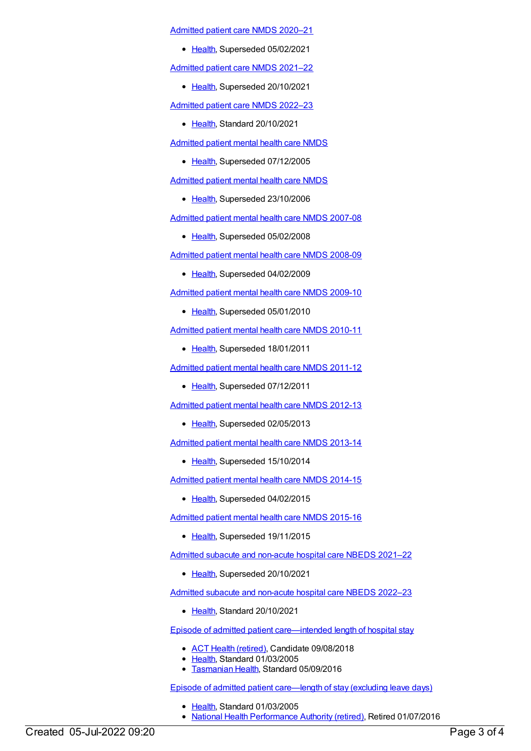[Admitted](https://meteor.aihw.gov.au/content/713850) patient care NMDS 2020–21

• [Health](https://meteor.aihw.gov.au/RegistrationAuthority/12), Superseded 05/02/2021

[Admitted](https://meteor.aihw.gov.au/content/728439) patient care NMDS 2021–22

• [Health](https://meteor.aihw.gov.au/RegistrationAuthority/12), Superseded 20/10/2021

[Admitted](https://meteor.aihw.gov.au/content/742173) patient care NMDS 2022–23

- [Health](https://meteor.aihw.gov.au/RegistrationAuthority/12), Standard 20/10/2021
- [Admitted](https://meteor.aihw.gov.au/content/273048) patient mental health care NMDS
	- [Health](https://meteor.aihw.gov.au/RegistrationAuthority/12), Superseded 07/12/2005

[Admitted](https://meteor.aihw.gov.au/content/334031) patient mental health care NMDS

• [Health](https://meteor.aihw.gov.au/RegistrationAuthority/12), Superseded 23/10/2006

[Admitted](https://meteor.aihw.gov.au/content/345110) patient mental health care NMDS 2007-08

• [Health](https://meteor.aihw.gov.au/RegistrationAuthority/12), Superseded 05/02/2008

[Admitted](https://meteor.aihw.gov.au/content/362305) patient mental health care NMDS 2008-09

• [Health](https://meteor.aihw.gov.au/RegistrationAuthority/12), Superseded 04/02/2009

[Admitted](https://meteor.aihw.gov.au/content/374207) patient mental health care NMDS 2009-10

• [Health](https://meteor.aihw.gov.au/RegistrationAuthority/12), Superseded 05/01/2010

[Admitted](https://meteor.aihw.gov.au/content/386799) patient mental health care NMDS 2010-11

• [Health](https://meteor.aihw.gov.au/RegistrationAuthority/12), Superseded 18/01/2011

[Admitted](https://meteor.aihw.gov.au/content/426872) patient mental health care NMDS 2011-12

• [Health](https://meteor.aihw.gov.au/RegistrationAuthority/12), Superseded 07/12/2011

[Admitted](https://meteor.aihw.gov.au/content/471383) patient mental health care NMDS 2012-13

• [Health](https://meteor.aihw.gov.au/RegistrationAuthority/12), Superseded 02/05/2013

[Admitted](https://meteor.aihw.gov.au/content/504646) patient mental health care NMDS 2013-14

• [Health](https://meteor.aihw.gov.au/RegistrationAuthority/12), Superseded 15/10/2014

[Admitted](https://meteor.aihw.gov.au/content/553164) patient mental health care NMDS 2014-15

• [Health](https://meteor.aihw.gov.au/RegistrationAuthority/12), Superseded 04/02/2015

[Admitted](https://meteor.aihw.gov.au/content/590510) patient mental health care NMDS 2015-16

• [Health](https://meteor.aihw.gov.au/RegistrationAuthority/12), Superseded 19/11/2015

Admitted subacute and [non-acute](https://meteor.aihw.gov.au/content/727327) hospital care NBEDS 2021–22

• [Health](https://meteor.aihw.gov.au/RegistrationAuthority/12), Superseded 20/10/2021

Admitted subacute and [non-acute](https://meteor.aihw.gov.au/content/742177) hospital care NBEDS 2022–23

• [Health](https://meteor.aihw.gov.au/RegistrationAuthority/12), Standard 20/10/2021

Episode of admitted patient [care—intended](https://meteor.aihw.gov.au/content/269574) length of hospital stay

- ACT Health [\(retired\)](https://meteor.aihw.gov.au/RegistrationAuthority/9), Candidate 09/08/2018
- [Health](https://meteor.aihw.gov.au/RegistrationAuthority/12), Standard 01/03/2005
- **[Tasmanian](https://meteor.aihw.gov.au/RegistrationAuthority/15) Health, Standard 05/09/2016**

Episode of admitted patient [care—length](https://meteor.aihw.gov.au/content/269422) of stay (excluding leave days)

- Elealth, Standard 01/03/2005
- National Health [Performance](https://meteor.aihw.gov.au/RegistrationAuthority/8) Authority (retired), Retired 01/07/2016